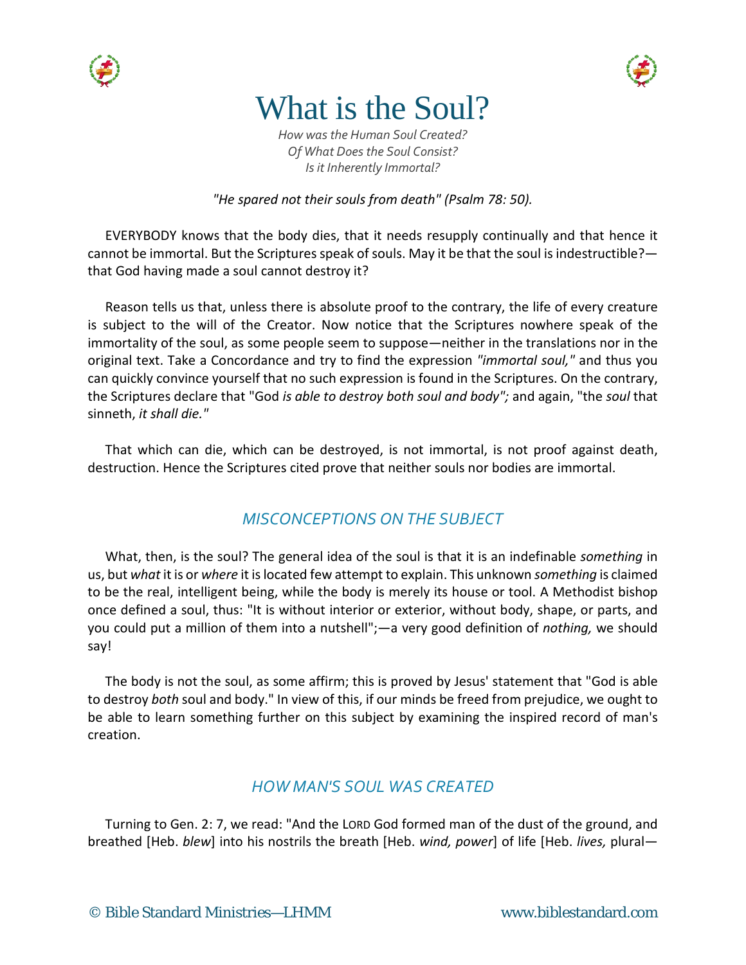



# What is the Soul?

*How was the Human Soul Created? Of What Does the Soul Consist? Is it Inherently Immortal?*

*"He spared not their souls from death" (Psalm 78: 50).*

EVERYBODY knows that the body dies, that it needs resupply continually and that hence it cannot be immortal. But the Scriptures speak of souls. May it be that the soul is indestructible? that God having made a soul cannot destroy it?

Reason tells us that, unless there is absolute proof to the contrary, the life of every creature is subject to the will of the Creator. Now notice that the Scriptures nowhere speak of the immortality of the soul, as some people seem to suppose—neither in the translations nor in the original text. Take a Concordance and try to find the expression *"immortal soul,"* and thus you can quickly convince yourself that no such expression is found in the Scriptures. On the contrary, the Scriptures declare that "God *is able to destroy both soul and body";* and again, "the *soul* that sinneth, *it shall die."*

That which can die, which can be destroyed, is not immortal, is not proof against death, destruction. Hence the Scriptures cited prove that neither souls nor bodies are immortal.

#### *MISCONCEPTIONS ON THE SUBJECT*

What, then, is the soul? The general idea of the soul is that it is an indefinable *something* in us, but *what* it is or *where* it is located few attempt to explain. This unknown *something* is claimed to be the real, intelligent being, while the body is merely its house or tool. A Methodist bishop once defined a soul, thus: "It is without interior or exterior, without body, shape, or parts, and you could put a million of them into a nutshell";—a very good definition of *nothing,* we should say!

The body is not the soul, as some affirm; this is proved by Jesus' statement that "God is able to destroy *both* soul and body." In view of this, if our minds be freed from prejudice, we ought to be able to learn something further on this subject by examining the inspired record of man's creation.

#### *HOW MAN'S SOUL WAS CREATED*

Turning to Gen. 2: 7, we read: "And the LORD God formed man of the dust of the ground, and breathed [Heb. *blew*] into his nostrils the breath [Heb. *wind, power*] of life [Heb. *lives,* plural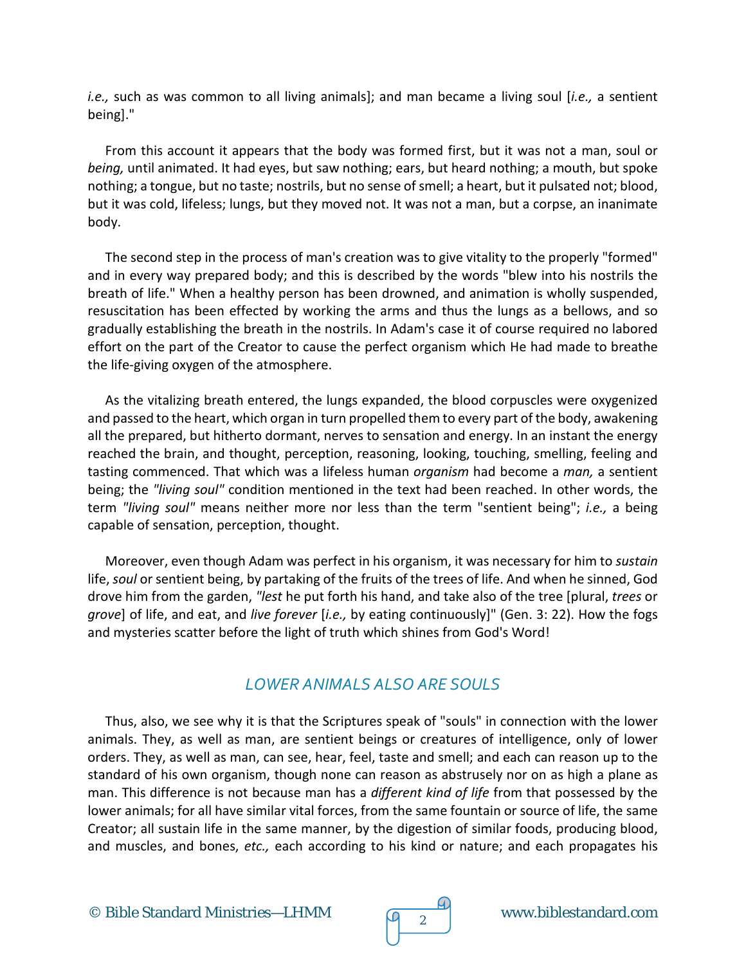*i.e.,* such as was common to all living animals]; and man became a living soul [*i.e.,* a sentient being]."

From this account it appears that the body was formed first, but it was not a man, soul or *being,* until animated. It had eyes, but saw nothing; ears, but heard nothing; a mouth, but spoke nothing; a tongue, but no taste; nostrils, but no sense of smell; a heart, but it pulsated not; blood, but it was cold, lifeless; lungs, but they moved not. It was not a man, but a corpse, an inanimate body.

The second step in the process of man's creation was to give vitality to the properly "formed" and in every way prepared body; and this is described by the words "blew into his nostrils the breath of life." When a healthy person has been drowned, and animation is wholly suspended, resuscitation has been effected by working the arms and thus the lungs as a bellows, and so gradually establishing the breath in the nostrils. In Adam's case it of course required no labored effort on the part of the Creator to cause the perfect organism which He had made to breathe the life-giving oxygen of the atmosphere.

As the vitalizing breath entered, the lungs expanded, the blood corpuscles were oxygenized and passed to the heart, which organ in turn propelled them to every part of the body, awakening all the prepared, but hitherto dormant, nerves to sensation and energy. In an instant the energy reached the brain, and thought, perception, reasoning, looking, touching, smelling, feeling and tasting commenced. That which was a lifeless human *organism* had become a *man,* a sentient being; the *"living soul"* condition mentioned in the text had been reached. In other words, the term *"living soul"* means neither more nor less than the term "sentient being"; *i.e.,* a being capable of sensation, perception, thought.

Moreover, even though Adam was perfect in his organism, it was necessary for him to *sustain* life, *soul* or sentient being, by partaking of the fruits of the trees of life. And when he sinned, God drove him from the garden, *"lest* he put forth his hand, and take also of the tree [plural, *trees* or *grove*] of life, and eat, and *live forever* [*i.e.,* by eating continuously]" (Gen. 3: 22). How the fogs and mysteries scatter before the light of truth which shines from God's Word!

#### *LOWER ANIMALS ALSO ARE SOULS*

Thus, also, we see why it is that the Scriptures speak of "souls" in connection with the lower animals. They, as well as man, are sentient beings or creatures of intelligence, only of lower orders. They, as well as man, can see, hear, feel, taste and smell; and each can reason up to the standard of his own organism, though none can reason as abstrusely nor on as high a plane as man. This difference is not because man has a *different kind of life* from that possessed by the lower animals; for all have similar vital forces, from the same fountain or source of life, the same Creator; all sustain life in the same manner, by the digestion of similar foods, producing blood, and muscles, and bones, *etc.,* each according to his kind or nature; and each propagates his

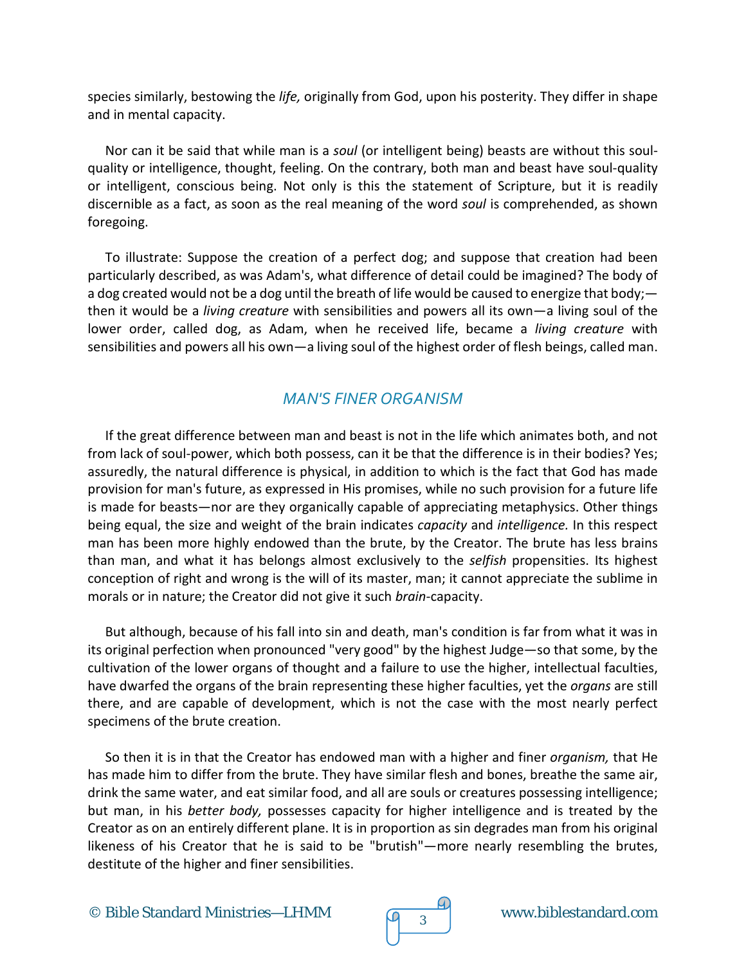species similarly, bestowing the *life,* originally from God, upon his posterity. They differ in shape and in mental capacity.

Nor can it be said that while man is a *soul* (or intelligent being) beasts are without this soulquality or intelligence, thought, feeling. On the contrary, both man and beast have soul-quality or intelligent, conscious being. Not only is this the statement of Scripture, but it is readily discernible as a fact, as soon as the real meaning of the word *soul* is comprehended, as shown foregoing.

To illustrate: Suppose the creation of a perfect dog; and suppose that creation had been particularly described, as was Adam's, what difference of detail could be imagined? The body of a dog created would not be a dog until the breath of life would be caused to energize that body; then it would be a *living creature* with sensibilities and powers all its own—a living soul of the lower order, called dog, as Adam, when he received life, became a *living creature* with sensibilities and powers all his own—a living soul of the highest order of flesh beings, called man.

#### *MAN'S FINER ORGANISM*

If the great difference between man and beast is not in the life which animates both, and not from lack of soul-power, which both possess, can it be that the difference is in their bodies? Yes; assuredly, the natural difference is physical, in addition to which is the fact that God has made provision for man's future, as expressed in His promises, while no such provision for a future life is made for beasts—nor are they organically capable of appreciating metaphysics. Other things being equal, the size and weight of the brain indicates *capacity* and *intelligence.* In this respect man has been more highly endowed than the brute, by the Creator. The brute has less brains than man, and what it has belongs almost exclusively to the *selfish* propensities. Its highest conception of right and wrong is the will of its master, man; it cannot appreciate the sublime in morals or in nature; the Creator did not give it such *brain*-capacity.

But although, because of his fall into sin and death, man's condition is far from what it was in its original perfection when pronounced "very good" by the highest Judge—so that some, by the cultivation of the lower organs of thought and a failure to use the higher, intellectual faculties, have dwarfed the organs of the brain representing these higher faculties, yet the *organs* are still there, and are capable of development, which is not the case with the most nearly perfect specimens of the brute creation.

So then it is in that the Creator has endowed man with a higher and finer *organism,* that He has made him to differ from the brute. They have similar flesh and bones, breathe the same air, drink the same water, and eat similar food, and all are souls or creatures possessing intelligence; but man, in his *better body,* possesses capacity for higher intelligence and is treated by the Creator as on an entirely different plane. It is in proportion as sin degrades man from his original likeness of his Creator that he is said to be "brutish"—more nearly resembling the brutes, destitute of the higher and finer sensibilities.

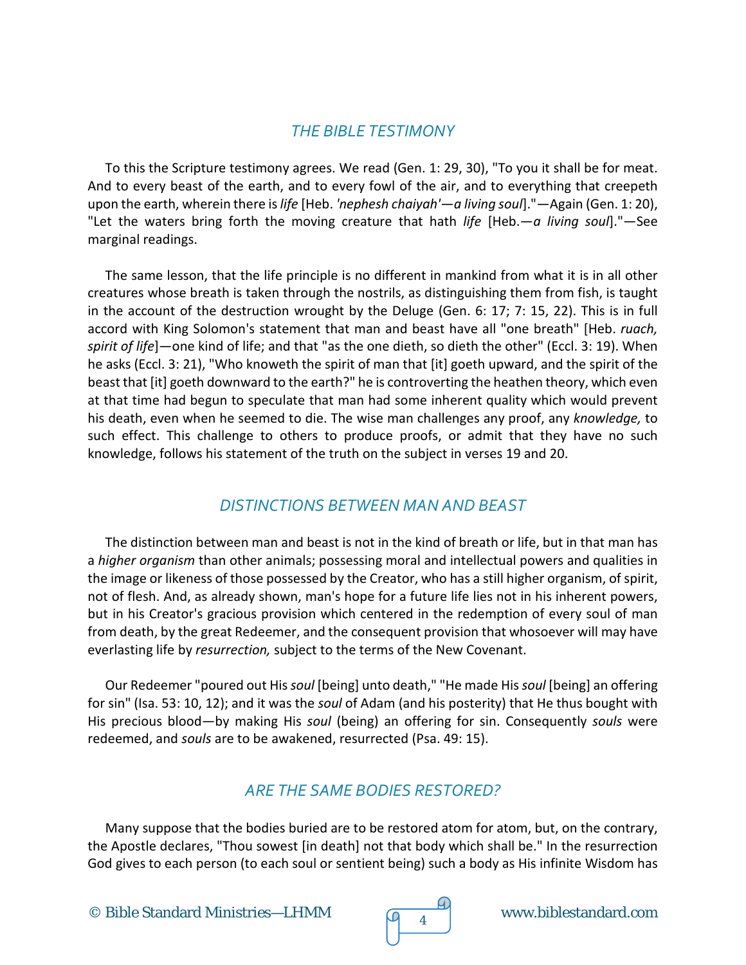#### *THE BIBLE TESTIMONY*

To this the Scripture testimony agrees. We read (Gen. 1: 29, 30), "To you it shall be for meat. And to every beast of the earth, and to every fowl of the air, and to everything that creepeth upon the earth, wherein there is*life* [Heb. *'nephesh chaiyah'—a living soul*]."—Again (Gen. 1: 20), "Let the waters bring forth the moving creature that hath *life* [Heb.—*a living soul*]."—See marginal readings.

The same lesson, that the life principle is no different in mankind from what it is in all other creatures whose breath is taken through the nostrils, as distinguishing them from fish, is taught in the account of the destruction wrought by the Deluge (Gen. 6: 17; 7: 15, 22). This is in full accord with King Solomon's statement that man and beast have all "one breath" [Heb. *ruach, spirit of life*]—one kind of life; and that "as the one dieth, so dieth the other" (Eccl. 3: 19). When he asks (Eccl. 3: 21), "Who knoweth the spirit of man that [it] goeth upward, and the spirit of the beast that [it] goeth downward to the earth?" he is controverting the heathen theory, which even at that time had begun to speculate that man had some inherent quality which would prevent his death, even when he seemed to die. The wise man challenges any proof, any *knowledge,* to such effect. This challenge to others to produce proofs, or admit that they have no such knowledge, follows his statement of the truth on the subject in verses 19 and 20.

#### *DISTINCTIONS BETWEEN MAN AND BEAST*

The distinction between man and beast is not in the kind of breath or life, but in that man has a *higher organism* than other animals; possessing moral and intellectual powers and qualities in the image or likeness of those possessed by the Creator, who has a still higher organism, of spirit, not of flesh. And, as already shown, man's hope for a future life lies not in his inherent powers, but in his Creator's gracious provision which centered in the redemption of every soul of man from death, by the great Redeemer, and the consequent provision that whosoever will may have everlasting life by *resurrection,* subject to the terms of the New Covenant.

Our Redeemer "poured out His*soul* [being] unto death," "He made His*soul* [being] an offering for sin" (Isa. 53: 10, 12); and it was the *soul* of Adam (and his posterity) that He thus bought with His precious blood—by making His *soul* (being) an offering for sin. Consequently *souls* were redeemed, and *souls* are to be awakened, resurrected (Psa. 49: 15).

## *ARE THE SAME BODIES RESTORED?*

Many suppose that the bodies buried are to be restored atom for atom, but, on the contrary, the Apostle declares, "Thou sowest [in death] not that body which shall be." In the resurrection God gives to each person (to each soul or sentient being) such a body as His infinite Wisdom has

© Bible Standard Ministries—LHMM  $\sqrt{9}$  4 www.biblestandard.com

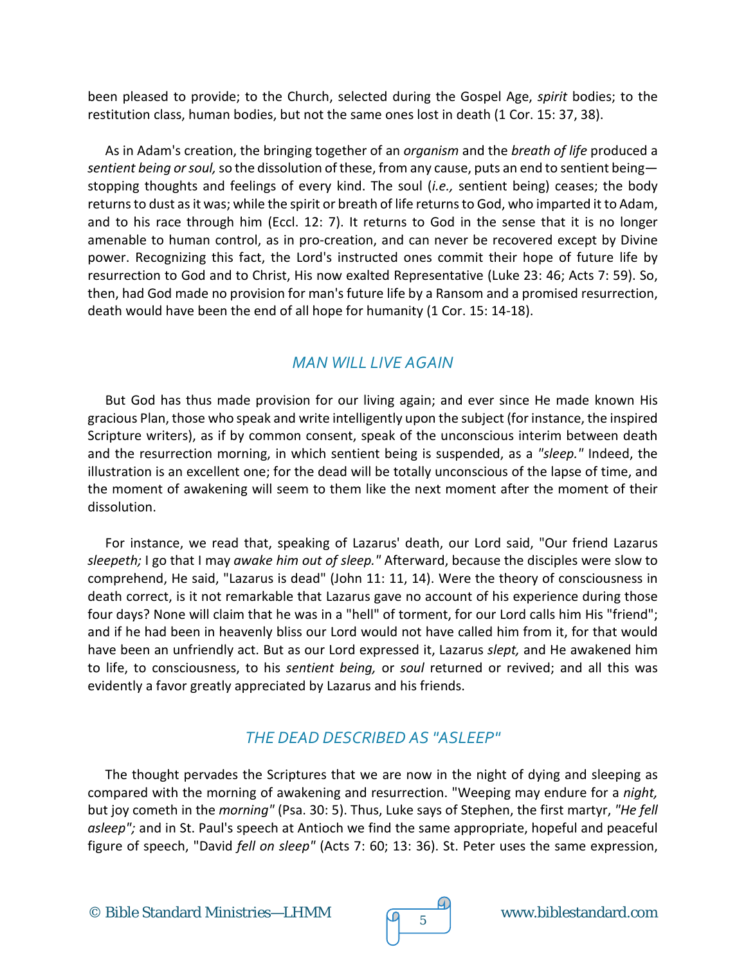been pleased to provide; to the Church, selected during the Gospel Age, *spirit* bodies; to the restitution class, human bodies, but not the same ones lost in death (1 Cor. 15: 37, 38).

As in Adam's creation, the bringing together of an *organism* and the *breath of life* produced a *sentient being or soul,*so the dissolution of these, from any cause, puts an end to sentient being stopping thoughts and feelings of every kind. The soul (*i.e.,* sentient being) ceases; the body returns to dust as it was; while the spirit or breath of life returns to God, who imparted it to Adam, and to his race through him (Eccl. 12: 7). It returns to God in the sense that it is no longer amenable to human control, as in pro-creation, and can never be recovered except by Divine power. Recognizing this fact, the Lord's instructed ones commit their hope of future life by resurrection to God and to Christ, His now exalted Representative (Luke 23: 46; Acts 7: 59). So, then, had God made no provision for man's future life by a Ransom and a promised resurrection, death would have been the end of all hope for humanity (1 Cor. 15: 14-18).

#### *MAN WILL LIVE AGAIN*

But God has thus made provision for our living again; and ever since He made known His gracious Plan, those who speak and write intelligently upon the subject (for instance, the inspired Scripture writers), as if by common consent, speak of the unconscious interim between death and the resurrection morning, in which sentient being is suspended, as a *"sleep."* Indeed, the illustration is an excellent one; for the dead will be totally unconscious of the lapse of time, and the moment of awakening will seem to them like the next moment after the moment of their dissolution.

For instance, we read that, speaking of Lazarus' death, our Lord said, "Our friend Lazarus *sleepeth;* I go that I may *awake him out of sleep."* Afterward, because the disciples were slow to comprehend, He said, "Lazarus is dead" (John 11: 11, 14). Were the theory of consciousness in death correct, is it not remarkable that Lazarus gave no account of his experience during those four days? None will claim that he was in a "hell" of torment, for our Lord calls him His "friend"; and if he had been in heavenly bliss our Lord would not have called him from it, for that would have been an unfriendly act. But as our Lord expressed it, Lazarus *slept,* and He awakened him to life, to consciousness, to his *sentient being,* or *soul* returned or revived; and all this was evidently a favor greatly appreciated by Lazarus and his friends.

## *THE DEAD DESCRIBED AS "ASLEEP"*

The thought pervades the Scriptures that we are now in the night of dying and sleeping as compared with the morning of awakening and resurrection. "Weeping may endure for a *night,* but joy cometh in the *morning"* (Psa. 30: 5). Thus, Luke says of Stephen, the first martyr, *"He fell asleep";* and in St. Paul's speech at Antioch we find the same appropriate, hopeful and peaceful figure of speech, "David *fell on sleep"* (Acts 7: 60; 13: 36). St. Peter uses the same expression,

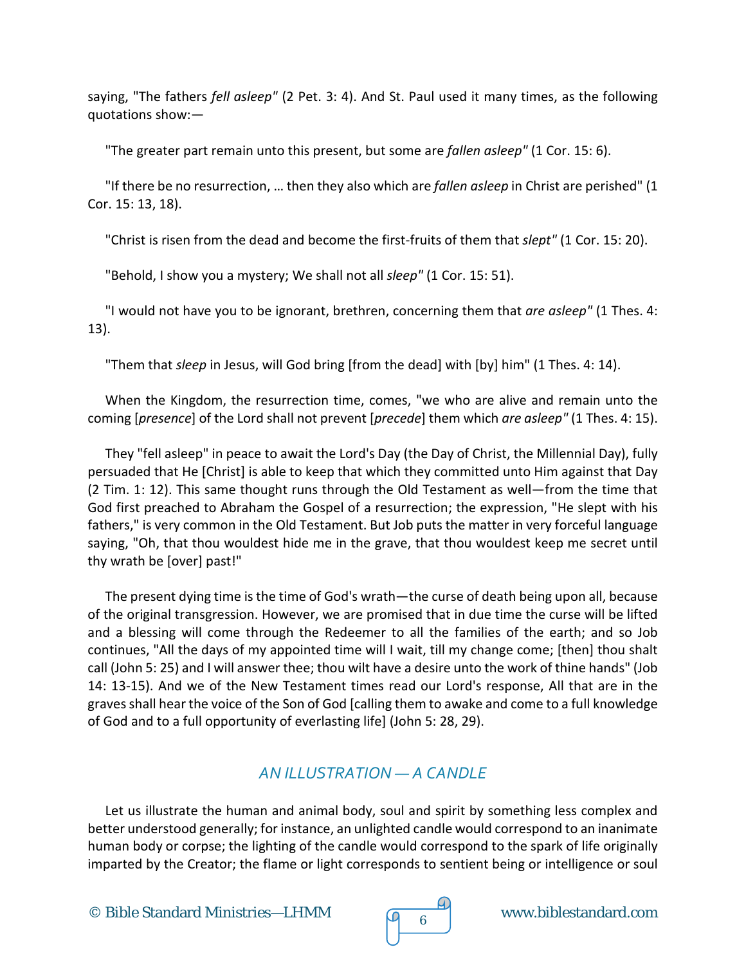saying, "The fathers *fell asleep"* (2 Pet. 3: 4). And St. Paul used it many times, as the following quotations show:—

"The greater part remain unto this present, but some are *fallen asleep"* (1 Cor. 15: 6).

"If there be no resurrection, … then they also which are *fallen asleep* in Christ are perished" (1 Cor. 15: 13, 18).

"Christ is risen from the dead and become the first-fruits of them that *slept"* (1 Cor. 15: 20).

"Behold, I show you a mystery; We shall not all *sleep"* (1 Cor. 15: 51).

"I would not have you to be ignorant, brethren, concerning them that *are asleep"* (1 Thes. 4: 13).

"Them that *sleep* in Jesus, will God bring [from the dead] with [by] him" (1 Thes. 4: 14).

When the Kingdom, the resurrection time, comes, "we who are alive and remain unto the coming [*presence*] of the Lord shall not prevent [*precede*] them which *are asleep"* (1 Thes. 4: 15).

They "fell asleep" in peace to await the Lord's Day (the Day of Christ, the Millennial Day), fully persuaded that He [Christ] is able to keep that which they committed unto Him against that Day (2 Tim. 1: 12). This same thought runs through the Old Testament as well—from the time that God first preached to Abraham the Gospel of a resurrection; the expression, "He slept with his fathers," is very common in the Old Testament. But Job puts the matter in very forceful language saying, "Oh, that thou wouldest hide me in the grave, that thou wouldest keep me secret until thy wrath be [over] past!"

The present dying time is the time of God's wrath—the curse of death being upon all, because of the original transgression. However, we are promised that in due time the curse will be lifted and a blessing will come through the Redeemer to all the families of the earth; and so Job continues, "All the days of my appointed time will I wait, till my change come; [then] thou shalt call (John 5: 25) and I will answer thee; thou wilt have a desire unto the work of thine hands" (Job 14: 13-15). And we of the New Testament times read our Lord's response, All that are in the graves shall hear the voice of the Son of God [calling them to awake and come to a full knowledge of God and to a full opportunity of everlasting life] (John 5: 28, 29).

## *AN ILLUSTRATION — A CANDLE*

Let us illustrate the human and animal body, soul and spirit by something less complex and better understood generally; for instance, an unlighted candle would correspond to an inanimate human body or corpse; the lighting of the candle would correspond to the spark of life originally imparted by the Creator; the flame or light corresponds to sentient being or intelligence or soul

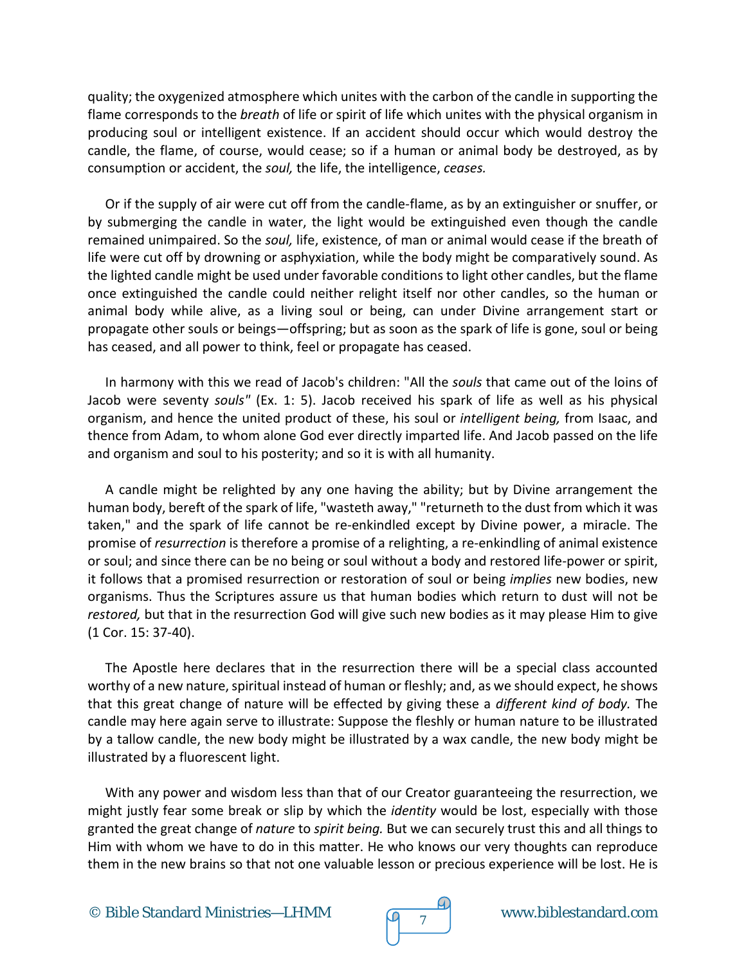quality; the oxygenized atmosphere which unites with the carbon of the candle in supporting the flame corresponds to the *breath* of life or spirit of life which unites with the physical organism in producing soul or intelligent existence. If an accident should occur which would destroy the candle, the flame, of course, would cease; so if a human or animal body be destroyed, as by consumption or accident, the *soul,* the life, the intelligence, *ceases.*

Or if the supply of air were cut off from the candle-flame, as by an extinguisher or snuffer, or by submerging the candle in water, the light would be extinguished even though the candle remained unimpaired. So the *soul,* life, existence, of man or animal would cease if the breath of life were cut off by drowning or asphyxiation, while the body might be comparatively sound. As the lighted candle might be used under favorable conditions to light other candles, but the flame once extinguished the candle could neither relight itself nor other candles, so the human or animal body while alive, as a living soul or being, can under Divine arrangement start or propagate other souls or beings—offspring; but as soon as the spark of life is gone, soul or being has ceased, and all power to think, feel or propagate has ceased.

In harmony with this we read of Jacob's children: "All the *souls* that came out of the loins of Jacob were seventy *souls"* (Ex. 1: 5). Jacob received his spark of life as well as his physical organism, and hence the united product of these, his soul or *intelligent being,* from Isaac, and thence from Adam, to whom alone God ever directly imparted life. And Jacob passed on the life and organism and soul to his posterity; and so it is with all humanity.

A candle might be relighted by any one having the ability; but by Divine arrangement the human body, bereft of the spark of life, "wasteth away," "returneth to the dust from which it was taken," and the spark of life cannot be re-enkindled except by Divine power, a miracle. The promise of *resurrection* is therefore a promise of a relighting, a re-enkindling of animal existence or soul; and since there can be no being or soul without a body and restored life-power or spirit, it follows that a promised resurrection or restoration of soul or being *implies* new bodies, new organisms. Thus the Scriptures assure us that human bodies which return to dust will not be *restored,* but that in the resurrection God will give such new bodies as it may please Him to give (1 Cor. 15: 37-40).

The Apostle here declares that in the resurrection there will be a special class accounted worthy of a new nature, spiritual instead of human or fleshly; and, as we should expect, he shows that this great change of nature will be effected by giving these a *different kind of body.* The candle may here again serve to illustrate: Suppose the fleshly or human nature to be illustrated by a tallow candle, the new body might be illustrated by a wax candle, the new body might be illustrated by a fluorescent light.

With any power and wisdom less than that of our Creator guaranteeing the resurrection, we might justly fear some break or slip by which the *identity* would be lost, especially with those granted the great change of *nature* to *spirit being.* But we can securely trust this and all things to Him with whom we have to do in this matter. He who knows our very thoughts can reproduce them in the new brains so that not one valuable lesson or precious experience will be lost. He is

© Bible Standard Ministries—LHMM www.biblestandard.com <sup>7</sup>

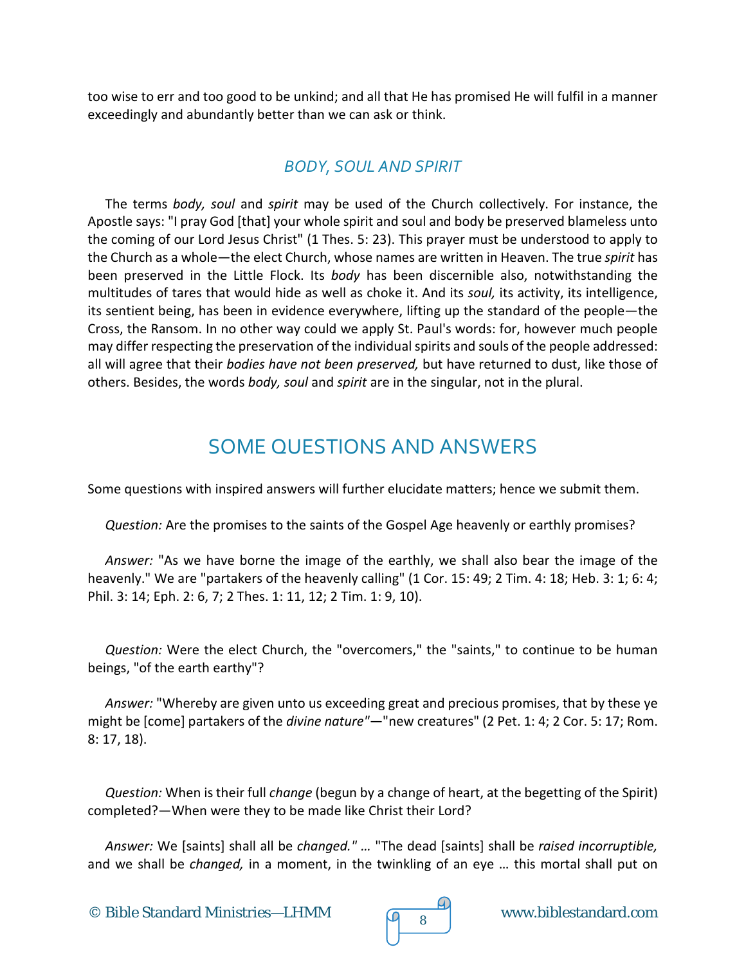too wise to err and too good to be unkind; and all that He has promised He will fulfil in a manner exceedingly and abundantly better than we can ask or think.

## *BODY, SOUL AND SPIRIT*

The terms *body, soul* and *spirit* may be used of the Church collectively. For instance, the Apostle says: "I pray God [that] your whole spirit and soul and body be preserved blameless unto the coming of our Lord Jesus Christ" (1 Thes. 5: 23). This prayer must be understood to apply to the Church as a whole—the elect Church, whose names are written in Heaven. The true *spirit* has been preserved in the Little Flock. Its *body* has been discernible also, notwithstanding the multitudes of tares that would hide as well as choke it. And its *soul,* its activity, its intelligence, its sentient being, has been in evidence everywhere, lifting up the standard of the people—the Cross, the Ransom. In no other way could we apply St. Paul's words: for, however much people may differ respecting the preservation of the individual spirits and souls of the people addressed: all will agree that their *bodies have not been preserved,* but have returned to dust, like those of others. Besides, the words *body, soul* and *spirit* are in the singular, not in the plural.

## SOME QUESTIONS AND ANSWERS

Some questions with inspired answers will further elucidate matters; hence we submit them.

*Question:* Are the promises to the saints of the Gospel Age heavenly or earthly promises?

*Answer:* "As we have borne the image of the earthly, we shall also bear the image of the heavenly." We are "partakers of the heavenly calling" (1 Cor. 15: 49; 2 Tim. 4: 18; Heb. 3: 1; 6: 4; Phil. 3: 14; Eph. 2: 6, 7; 2 Thes. 1: 11, 12; 2 Tim. 1: 9, 10).

*Question:* Were the elect Church, the "overcomers," the "saints," to continue to be human beings, "of the earth earthy"?

*Answer:* "Whereby are given unto us exceeding great and precious promises, that by these ye might be [come] partakers of the *divine nature"*—"new creatures" (2 Pet. 1: 4; 2 Cor. 5: 17; Rom. 8: 17, 18).

*Question:* When is their full *change* (begun by a change of heart, at the begetting of the Spirit) completed?—When were they to be made like Christ their Lord?

*Answer:* We [saints] shall all be *changed." …* "The dead [saints] shall be *raised incorruptible,* and we shall be *changed,* in a moment, in the twinkling of an eye … this mortal shall put on

© Bible Standard Ministries—LHMM www.biblestandard.com <sup>8</sup>



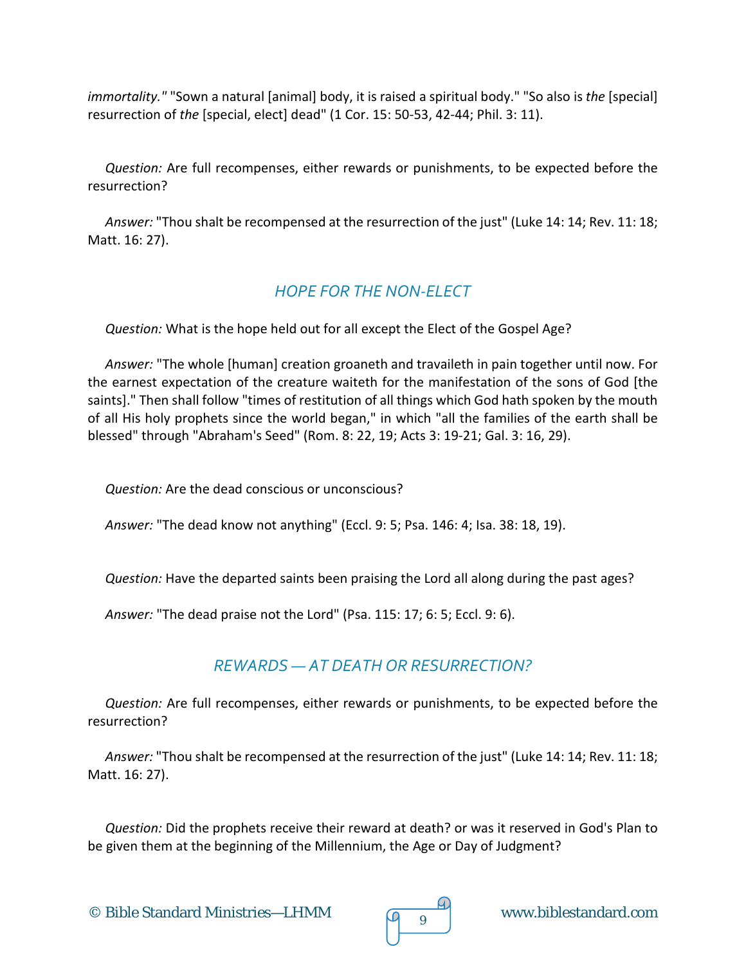*immortality."* "Sown a natural [animal] body, it is raised a spiritual body." "So also is *the* [special] resurrection of *the* [special, elect] dead" (1 Cor. 15: 50-53, 42-44; Phil. 3: 11).

*Question:* Are full recompenses, either rewards or punishments, to be expected before the resurrection?

*Answer:* "Thou shalt be recompensed at the resurrection of the just" (Luke 14: 14; Rev. 11: 18; Matt. 16: 27).

## *HOPE FOR THE NON-ELECT*

*Question:* What is the hope held out for all except the Elect of the Gospel Age?

*Answer:* "The whole [human] creation groaneth and travaileth in pain together until now. For the earnest expectation of the creature waiteth for the manifestation of the sons of God [the saints]." Then shall follow "times of restitution of all things which God hath spoken by the mouth of all His holy prophets since the world began," in which "all the families of the earth shall be blessed" through "Abraham's Seed" (Rom. 8: 22, 19; Acts 3: 19-21; Gal. 3: 16, 29).

*Question:* Are the dead conscious or unconscious?

*Answer:* "The dead know not anything" (Eccl. 9: 5; Psa. 146: 4; Isa. 38: 18, 19).

*Question:* Have the departed saints been praising the Lord all along during the past ages?

*Answer:* "The dead praise not the Lord" (Psa. 115: 17; 6: 5; Eccl. 9: 6).

## *REWARDS — AT DEATH OR RESURRECTION?*

*Question:* Are full recompenses, either rewards or punishments, to be expected before the resurrection?

*Answer:* "Thou shalt be recompensed at the resurrection of the just" (Luke 14: 14; Rev. 11: 18; Matt. 16: 27).

*Question:* Did the prophets receive their reward at death? or was it reserved in God's Plan to be given them at the beginning of the Millennium, the Age or Day of Judgment?

© Bible Standard Ministries—LHMM www.biblestandard.com <sup>9</sup>

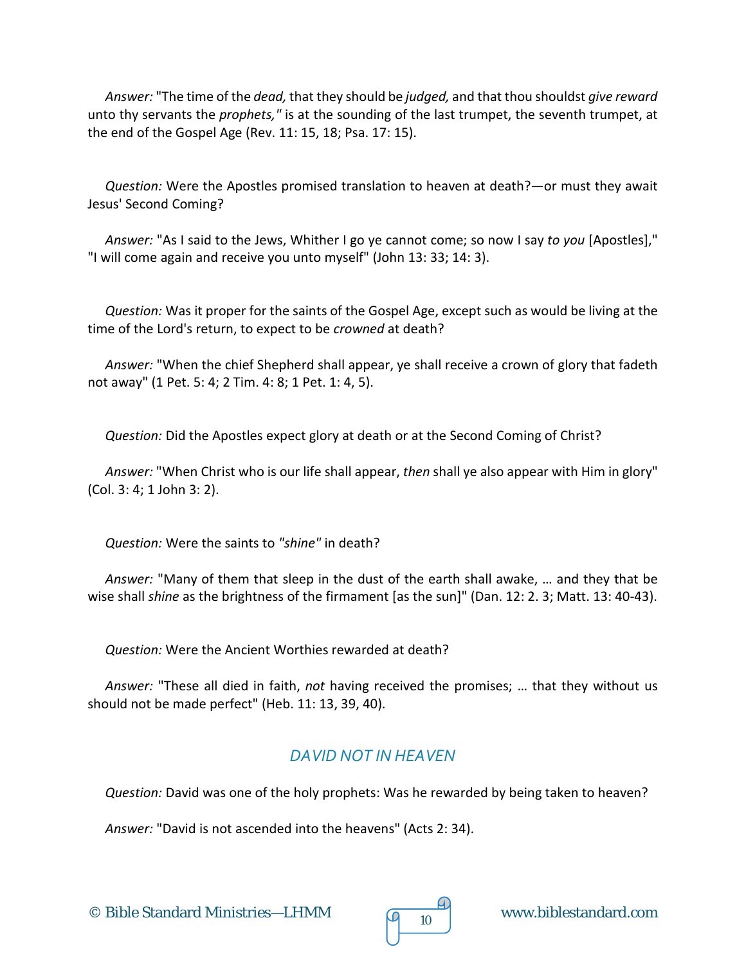*Answer:* "The time of the *dead,* that they should be *judged,* and that thou shouldst *give reward* unto thy servants the *prophets,"* is at the sounding of the last trumpet, the seventh trumpet, at the end of the Gospel Age (Rev. 11: 15, 18; Psa. 17: 15).

*Question:* Were the Apostles promised translation to heaven at death?—or must they await Jesus' Second Coming?

*Answer:* "As I said to the Jews, Whither I go ye cannot come; so now I say *to you* [Apostles]," "I will come again and receive you unto myself" (John 13: 33; 14: 3).

*Question:* Was it proper for the saints of the Gospel Age, except such as would be living at the time of the Lord's return, to expect to be *crowned* at death?

*Answer:* "When the chief Shepherd shall appear, ye shall receive a crown of glory that fadeth not away" (1 Pet. 5: 4; 2 Tim. 4: 8; 1 Pet. 1: 4, 5).

*Question:* Did the Apostles expect glory at death or at the Second Coming of Christ?

*Answer:* "When Christ who is our life shall appear, *then* shall ye also appear with Him in glory" (Col. 3: 4; 1 John 3: 2).

*Question:* Were the saints to *"shine"* in death?

*Answer:* "Many of them that sleep in the dust of the earth shall awake, … and they that be wise shall *shine* as the brightness of the firmament [as the sun]" (Dan. 12: 2. 3; Matt. 13: 40-43).

*Question:* Were the Ancient Worthies rewarded at death?

*Answer:* "These all died in faith, *not* having received the promises; … that they without us should not be made perfect" (Heb. 11: 13, 39, 40).

#### *DAVID NOT IN HEAVEN*

*Question:* David was one of the holy prophets: Was he rewarded by being taken to heaven?

*Answer:* "David is not ascended into the heavens" (Acts 2: 34).

© Bible Standard Ministries—LHMM  $\sqrt{9}$  10 www.biblestandard.com

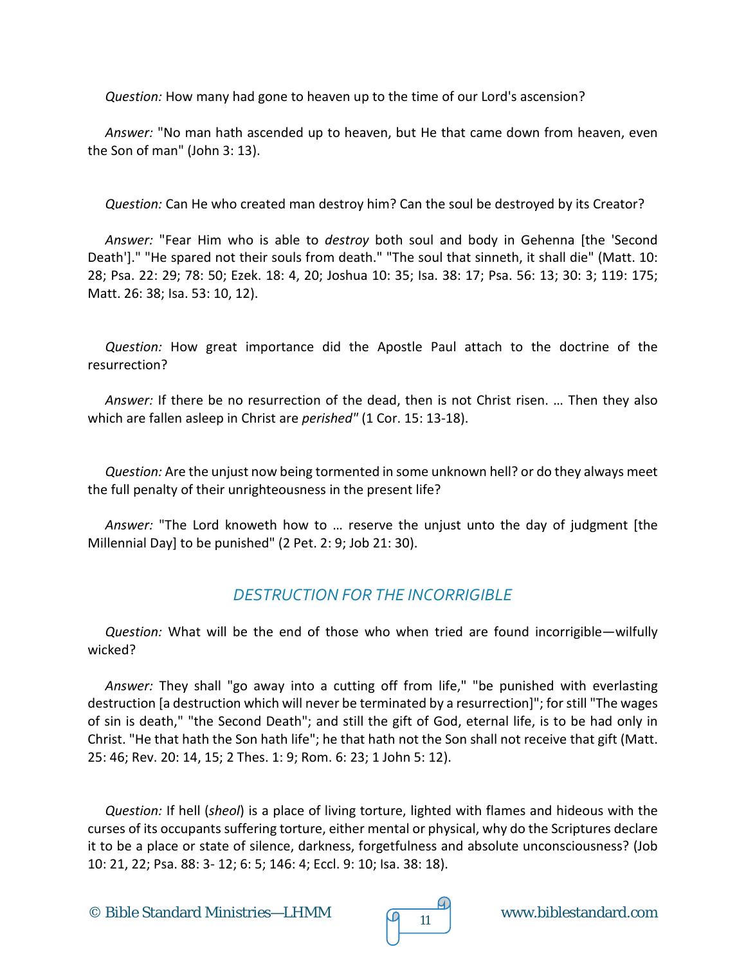*Question:* How many had gone to heaven up to the time of our Lord's ascension?

*Answer:* "No man hath ascended up to heaven, but He that came down from heaven, even the Son of man" (John 3: 13).

*Question:* Can He who created man destroy him? Can the soul be destroyed by its Creator?

*Answer:* "Fear Him who is able to *destroy* both soul and body in Gehenna [the 'Second Death']." "He spared not their souls from death." "The soul that sinneth, it shall die" (Matt. 10: 28; Psa. 22: 29; 78: 50; Ezek. 18: 4, 20; Joshua 10: 35; Isa. 38: 17; Psa. 56: 13; 30: 3; 119: 175; Matt. 26: 38; Isa. 53: 10, 12).

*Question:* How great importance did the Apostle Paul attach to the doctrine of the resurrection?

*Answer:* If there be no resurrection of the dead, then is not Christ risen. … Then they also which are fallen asleep in Christ are *perished"* (1 Cor. 15: 13-18).

*Question:* Are the unjust now being tormented in some unknown hell? or do they always meet the full penalty of their unrighteousness in the present life?

*Answer:* "The Lord knoweth how to … reserve the unjust unto the day of judgment [the Millennial Day] to be punished" (2 Pet. 2: 9; Job 21: 30).

#### *DESTRUCTION FOR THE INCORRIGIBLE*

*Question:* What will be the end of those who when tried are found incorrigible—wilfully wicked?

*Answer:* They shall "go away into a cutting off from life," "be punished with everlasting destruction [a destruction which will never be terminated by a resurrection]"; for still "The wages of sin is death," "the Second Death"; and still the gift of God, eternal life, is to be had only in Christ. "He that hath the Son hath life"; he that hath not the Son shall not receive that gift (Matt. 25: 46; Rev. 20: 14, 15; 2 Thes. 1: 9; Rom. 6: 23; 1 John 5: 12).

*Question:* If hell (*sheol*) is a place of living torture, lighted with flames and hideous with the curses of its occupants suffering torture, either mental or physical, why do the Scriptures declare it to be a place or state of silence, darkness, forgetfulness and absolute unconsciousness? (Job 10: 21, 22; Psa. 88: 3- 12; 6: 5; 146: 4; Eccl. 9: 10; Isa. 38: 18).

© Bible Standard Ministries—LHMM  $\sqrt{9}$  11 www.biblestandard.com

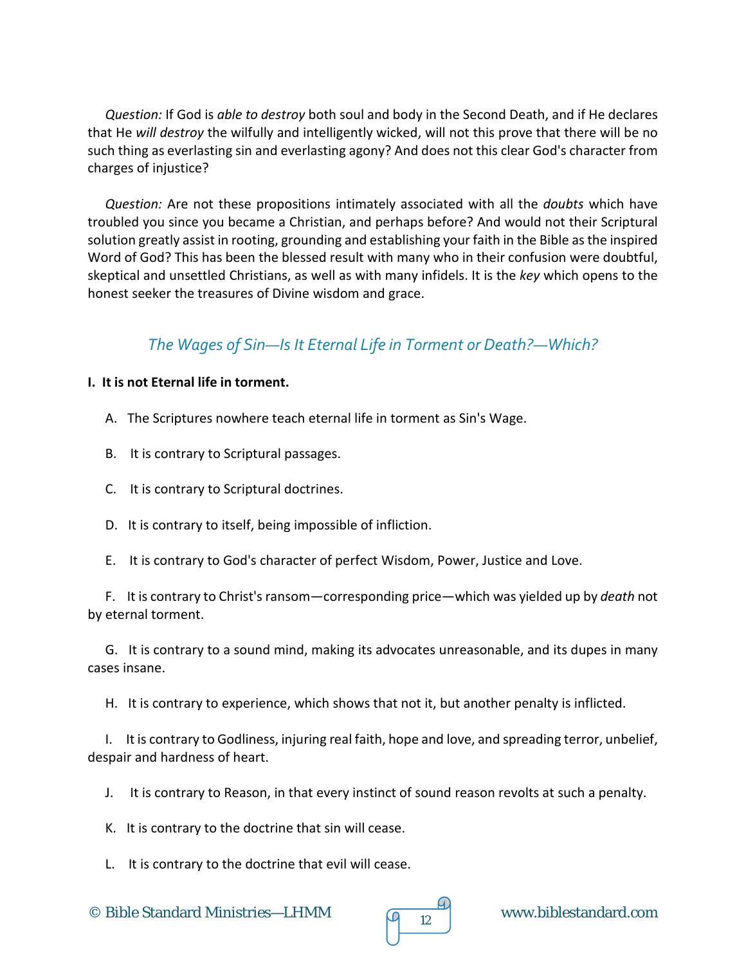*Question:* If God is *able to destroy* both soul and body in the Second Death, and if He declares that He *will destroy* the wilfully and intelligently wicked, will not this prove that there will be no such thing as everlasting sin and everlasting agony? And does not this clear God's character from charges of injustice?

*Question:* Are not these propositions intimately associated with all the *doubts* which have troubled you since you became a Christian, and perhaps before? And would not their Scriptural solution greatly assist in rooting, grounding and establishing your faith in the Bible as the inspired Word of God? This has been the blessed result with many who in their confusion were doubtful, skeptical and unsettled Christians, as well as with many infidels. It is the *key* which opens to the honest seeker the treasures of Divine wisdom and grace.

## *The Wages of Sin—Is It Eternal Life in Torment or Death?—Which?*

#### **I. It is not Eternal life in torment.**

A. The Scriptures nowhere teach eternal life in torment as Sin's Wage.

- B. It is contrary to Scriptural passages.
- C. It is contrary to Scriptural doctrines.
- D. It is contrary to itself, being impossible of infliction.
- E. It is contrary to God's character of perfect Wisdom, Power, Justice and Love.

F. It is contrary to Christ's ransom—corresponding price—which was yielded up by *death* not by eternal torment.

G. It is contrary to a sound mind, making its advocates unreasonable, and its dupes in many cases insane.

H. It is contrary to experience, which shows that not it, but another penalty is inflicted.

I. It is contrary to Godliness, injuring real faith, hope and love, and spreading terror, unbelief, despair and hardness of heart.

J. It is contrary to Reason, in that every instinct of sound reason revolts at such a penalty.

K. It is contrary to the doctrine that sin will cease.

L. It is contrary to the doctrine that evil will cease.

© Bible Standard Ministries—LHMM  $\sqrt{q}$  12 www.biblestandard.com

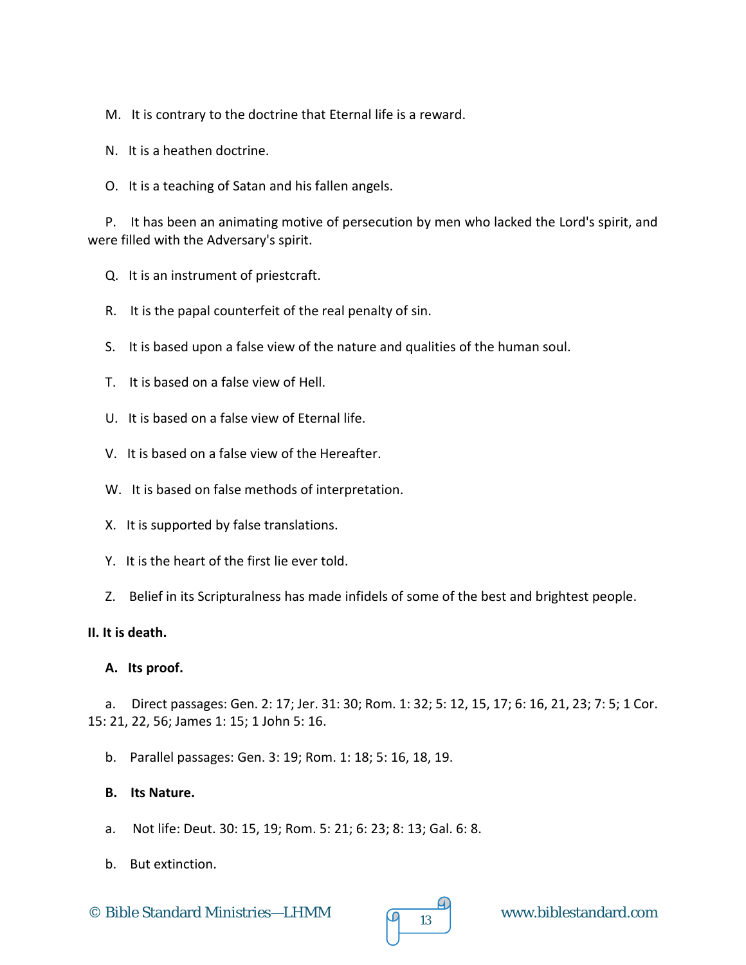M. It is contrary to the doctrine that Eternal life is a reward.

- N. It is a heathen doctrine.
- O. It is a teaching of Satan and his fallen angels.

P. It has been an animating motive of persecution by men who lacked the Lord's spirit, and were filled with the Adversary's spirit.

- Q. It is an instrument of priestcraft.
- R. It is the papal counterfeit of the real penalty of sin.
- S. It is based upon a false view of the nature and qualities of the human soul.
- T. It is based on a false view of Hell.
- U. It is based on a false view of Eternal life.
- V. It is based on a false view of the Hereafter.
- W. It is based on false methods of interpretation.
- X. It is supported by false translations.
- Y. It is the heart of the first lie ever told.
- Z. Belief in its Scripturalness has made infidels of some of the best and brightest people.

#### **II. It is death.**

#### **A. Its proof.**

a. Direct passages: Gen. 2: 17; Jer. 31: 30; Rom. 1: 32; 5: 12, 15, 17; 6: 16, 21, 23; 7: 5; 1 Cor. 15: 21, 22, 56; James 1: 15; 1 John 5: 16.

b. Parallel passages: Gen. 3: 19; Rom. 1: 18; 5: 16, 18, 19.

#### **B. Its Nature.**

- a. Not life: Deut. 30: 15, 19; Rom. 5: 21; 6: 23; 8: 13; Gal. 6: 8.
- b. But extinction.

© Bible Standard Ministries—LHMM  $\sqrt{q}$  13 www.biblestandard.com

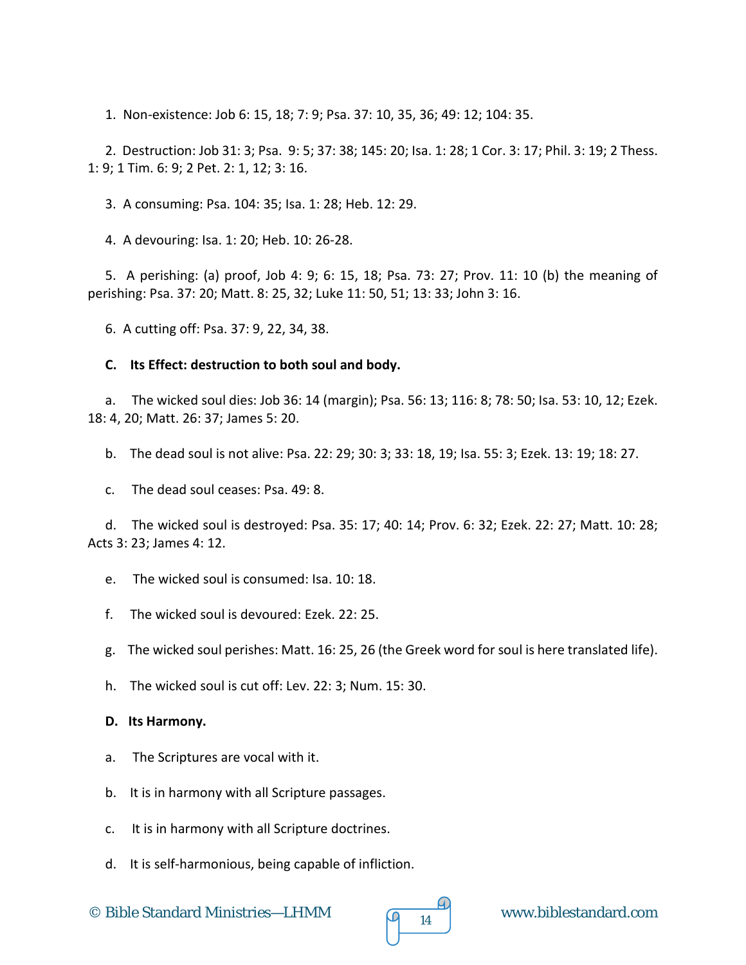1. Non-existence: Job 6: 15, 18; 7: 9; Psa. 37: 10, 35, 36; 49: 12; 104: 35.

2. Destruction: Job 31: 3; Psa. 9: 5; 37: 38; 145: 20; Isa. 1: 28; 1 Cor. 3: 17; Phil. 3: 19; 2 Thess. 1: 9; 1 Tim. 6: 9; 2 Pet. 2: 1, 12; 3: 16.

3. A consuming: Psa. 104: 35; Isa. 1: 28; Heb. 12: 29.

4. A devouring: Isa. 1: 20; Heb. 10: 26-28.

5. A perishing: (a) proof, Job 4: 9; 6: 15, 18; Psa. 73: 27; Prov. 11: 10 (b) the meaning of perishing: Psa. 37: 20; Matt. 8: 25, 32; Luke 11: 50, 51; 13: 33; John 3: 16.

6. A cutting off: Psa. 37: 9, 22, 34, 38.

#### **C. Its Effect: destruction to both soul and body.**

a. The wicked soul dies: Job 36: 14 (margin); Psa. 56: 13; 116: 8; 78: 50; Isa. 53: 10, 12; Ezek. 18: 4, 20; Matt. 26: 37; James 5: 20.

b. The dead soul is not alive: Psa. 22: 29; 30: 3; 33: 18, 19; Isa. 55: 3; Ezek. 13: 19; 18: 27.

c. The dead soul ceases: Psa. 49: 8.

d. The wicked soul is destroyed: Psa. 35: 17; 40: 14; Prov. 6: 32; Ezek. 22: 27; Matt. 10: 28; Acts 3: 23; James 4: 12.

- e. The wicked soul is consumed: Isa. 10: 18.
- f. The wicked soul is devoured: Ezek. 22: 25.

g. The wicked soul perishes: Matt. 16: 25, 26 (the Greek word for soul is here translated life).

h. The wicked soul is cut off: Lev. 22: 3; Num. 15: 30.

#### **D. Its Harmony.**

- a. The Scriptures are vocal with it.
- b. It is in harmony with all Scripture passages.
- c. It is in harmony with all Scripture doctrines.
- d. It is self-harmonious, being capable of infliction.
- © Bible Standard Ministries—LHMM  $\sqrt{q}$  14 www.biblestandard.com